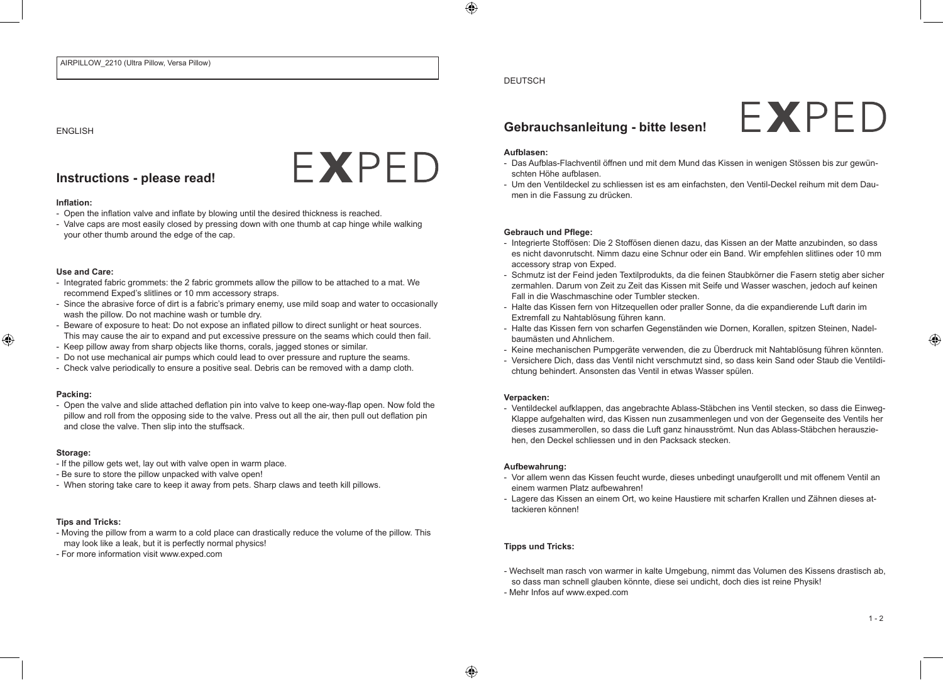#### ENGLISH

## **Instructions - please read!**

## **Inflation:**

- Open the inflation valve and inflate by blowing until the desired thickness is reached.
- Valve caps are most easily closed by pressing down with one thumb at cap hinge while walking your other thumb around the edge of the cap.

FXPFD

#### **Use and Care:**

- Integrated fabric grommets: the 2 fabric grommets allow the pillow to be attached to a mat. We recommend Exped's slitlines or 10 mm accessory straps.
- Since the abrasive force of dirt is a fabric's primary enemy, use mild soap and water to occasionally wash the pillow. Do not machine wash or tumble dry.
- Beware of exposure to heat: Do not expose an inflated pillow to direct sunlight or heat sources. This may cause the air to expand and put excessive pressure on the seams which could then fail.
- Keep pillow away from sharp objects like thorns, corals, jagged stones or similar.
- Do not use mechanical air pumps which could lead to over pressure and rupture the seams.
- Check valve periodically to ensure a positive seal. Debris can be removed with a damp cloth.

#### **Packing:**

- Open the valve and slide attached deflation pin into valve to keep one-way-flap open. Now fold the pillow and roll from the opposing side to the valve. Press out all the air, then pull out deflation pin and close the valve. Then slip into the stuffsack.

#### **Storage:**

- If the pillow gets wet, lay out with valve open in warm place.
- Be sure to store the pillow unpacked with valve open!
- When storing take care to keep it away from pets. Sharp claws and teeth kill pillows.

## **Tips and Tricks:**

- Moving the pillow from a warm to a cold place can drastically reduce the volume of the pillow. This may look like a leak, but it is perfectly normal physics!
- For more information visit www.exped.com

## DEUTSCH

# **Gebrauchsanleitung - bitte lesen!**

#### **Aufblasen:**

- Das Aufblas-Flachventil öffnen und mit dem Mund das Kissen in wenigen Stössen bis zur gewünschten Höhe aufblasen.

FXPFD

- Um den Ventildeckel zu schliessen ist es am einfachsten, den Ventil-Deckel reihum mit dem Daumen in die Fassung zu drücken.

#### **Gebrauch und Pflege:**

- Integrierte Stoffösen: Die 2 Stoffösen dienen dazu, das Kissen an der Matte anzubinden, so dass es nicht davonrutscht. Nimm dazu eine Schnur oder ein Band. Wir empfehlen slitlines oder 10 mm accessory strap von Exped.
- Schmutz ist der Feind jeden Textilprodukts, da die feinen Staubkörner die Fasern stetig aber sicher zermahlen. Darum von Zeit zu Zeit das Kissen mit Seife und Wasser waschen, jedoch auf keinen Fall in die Waschmaschine oder Tumbler stecken.
- Halte das Kissen fern von Hitzequellen oder praller Sonne, da die expandierende Luft darin im Extremfall zu Nahtablösung führen kann.
- Halte das Kissen fern von scharfen Gegenständen wie Dornen, Korallen, spitzen Steinen, Nadelbaumästen und Ahnlichem.
- Keine mechanischen Pumpgeräte verwenden, die zu Überdruck mit Nahtablösung führen könnten.
- Versichere Dich, dass das Ventil nicht verschmutzt sind, so dass kein Sand oder Staub die Ventildichtung behindert. Ansonsten das Ventil in etwas Wasser spülen.

#### **Verpacken:**

- Ventildeckel aufklappen, das angebrachte Ablass-Stäbchen ins Ventil stecken, so dass die Einweg-Klappe aufgehalten wird, das Kissen nun zusammenlegen und von der Gegenseite des Ventils her dieses zusammerollen, so dass die Luft ganz hinausströmt. Nun das Ablass-Stäbchen herausziehen, den Deckel schliessen und in den Packsack stecken.

#### **Aufbewahrung:**

- Vor allem wenn das Kissen feucht wurde, dieses unbedingt unaufgerollt und mit offenem Ventil an einem warmen Platz aufbewahren!
- Lagere das Kissen an einem Ort, wo keine Haustiere mit scharfen Krallen und Zähnen dieses attackieren können!

## **Tipps und Tricks:**

- Wechselt man rasch von warmer in kalte Umgebung, nimmt das Volumen des Kissens drastisch ab, so dass man schnell glauben könnte, diese sei undicht, doch dies ist reine Physik!
- Mehr Infos auf www.exped.com